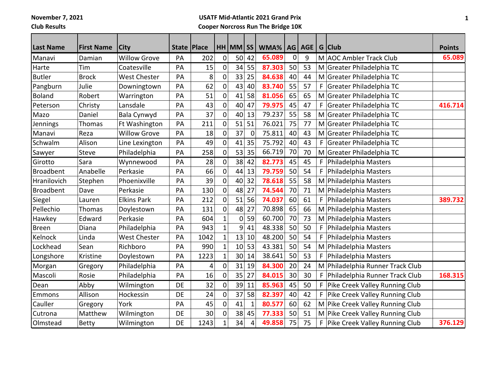**November 7, 2021**

**Club Results**

## **USATF Mid-Atlantic 2021 Grand Prix Cooper Norcross Run The Bridge 10K**

| <b>Last Name</b> | <b>First Name</b> | City                | State   Place |      |                | $HH$ MM $ SS $  |              | WMA%   | AG          | <b>AGE</b> |   | G Club                             | <b>Points</b> |
|------------------|-------------------|---------------------|---------------|------|----------------|-----------------|--------------|--------|-------------|------------|---|------------------------------------|---------------|
| Manavi           | Damian            | <b>Willow Grove</b> | PA            | 202  | $\mathbf 0$    | 50              | 42           | 65.089 | $\mathbf 0$ | 9          |   | M AOC Ambler Track Club            | 65.089        |
| Harte            | Tim               | Coatesville         | PA            | 15   | $\pmb{0}$      | 34              | 55           | 87.303 | 50          | 53         |   | M Greater Philadelphia TC          |               |
| <b>Butler</b>    | <b>Brock</b>      | <b>West Chester</b> | PA            | 8    | 0              | 33              | 25           | 84.638 | 40          | 44         |   | M Greater Philadelphia TC          |               |
| Pangburn         | Julie             | Downingtown         | PA            | 62   | $\mathbf 0$    | 43              | 40           | 83.740 | 55          | 57         | F | Greater Philadelphia TC            |               |
| <b>Boland</b>    | Robert            | Warrington          | PA            | 51   | $\mathbf 0$    | 41              | 58           | 81.056 | 65          | 65         |   | M Greater Philadelphia TC          |               |
| Peterson         | Christy           | Lansdale            | PA            | 43   | $\mathbf 0$    | 40              | 47           | 79.975 | 45          | 47         | F | Greater Philadelphia TC            | 416.714       |
| Mazo             | Daniel            | Bala Cynwyd         | PA            | 37   | $\mathbf 0$    | 40              | 13           | 79.237 | 55          | 58         |   | M Greater Philadelphia TC          |               |
| Jennings         | Thomas            | Ft Washington       | PA            | 211  | $\mathbf 0$    | 51              | 51           | 76.021 | 75          | 77         |   | M Greater Philadelphia TC          |               |
| Manavi           | Reza              | <b>Willow Grove</b> | PA            | 18   | 0              | 37              | $\mathbf 0$  | 75.811 | 40          | 43         |   | M Greater Philadelphia TC          |               |
| Schwalm          | Alison            | Line Lexington      | PA            | 49   | $\overline{0}$ | 41              | 35           | 75.792 | 40          | 43         | F | Greater Philadelphia TC            |               |
| Sawyer           | Steve             | Philadelphia        | PA            | 258  | $\overline{0}$ | 53              | 35           | 66.719 | 70          | 70         |   | M Greater Philadelphia TC          |               |
| Girotto          | Sara              | Wynnewood           | PA            | 28   | $\pmb{0}$      | 38              | 42           | 82.773 | 45          | 45         |   | F   Philadelphia Masters           |               |
| <b>Broadbent</b> | Anabelle          | Perkasie            | PA            | 66   | $\mathbf 0$    | 44              | 13           | 79.759 | 50          | 54         | F | Philadelphia Masters               |               |
| Hranilovich      | Stephen           | Phoenixville        | PA            | 39   | 0              | 40              | 32           | 78.618 | 55          | 58         |   | M Philadelphia Masters             |               |
| <b>Broadbent</b> | Dave              | Perkasie            | PA            | 130  | $\mathbf 0$    | 48              | 27           | 74.544 | 70          | 71         |   | M Philadelphia Masters             |               |
| Siegel           | Lauren            | <b>Elkins Park</b>  | PA            | 212  | 0              | 51              | 56           | 74.037 | 60          | 61         | F | Philadelphia Masters               | 389.732       |
| Pellechio        | Thomas            | Doylestown          | PA            | 131  | 0              | 48              | 27           | 70.898 | 65          | 66         |   | M Philadelphia Masters             |               |
| Hawkey           | Edward            | Perkasie            | PA            | 604  | $\mathbf{1}$   | 0               | 59           | 60.700 | 70          | 73         |   | M Philadelphia Masters             |               |
| Breen            | Diana             | Philadelphia        | PA            | 943  | $\mathbf{1}$   | 9               | 41           | 48.338 | 50          | 50         | F | Philadelphia Masters               |               |
| Kelnock          | Linda             | <b>West Chester</b> | PA            | 1042 | $\mathbf 1$    | 13              | 10           | 48.200 | 50          | 54         | F | Philadelphia Masters               |               |
| Lockhead         | Sean              | Richboro            | PA            | 990  | $\mathbf 1$    | 10              | 53           | 43.381 | 50          | 54         |   | M Philadelphia Masters             |               |
| Longshore        | Kristine          | Doylestown          | PA            | 1223 | $\mathbf{1}$   | 30 <sup>1</sup> | 14           | 38.641 | 50          | 53         |   | F   Philadelphia Masters           |               |
| Morgan           | Gregory           | Philadelphia        | PA            | 4    | 0              | 31              | 19           | 84.300 | 20          | 24         |   | M Philadelphia Runner Track Club   |               |
| Mascoli          | Rosie             | Philadelphia        | PA            | 16   | 0              | 35              | 27           | 84.015 | 30          | 30         |   | F   Philadelphia Runner Track Club | 168.315       |
| Dean             | Abby              | Wilmington          | DE            | 32   | 0              | 39              | 11           | 85.963 | 45          | 50         |   | F Pike Creek Valley Running Club   |               |
| Emmons           | Allison           | Hockessin           | <b>DE</b>     | 24   | $\mathbf 0$    | 37              | 58           | 82.397 | 40          | 42         |   | F Pike Creek Valley Running Club   |               |
| Cauller          | Gregory           | York                | PA            | 45   | $\mathbf 0$    | 41              | $\mathbf{1}$ | 80.577 | 60          | 62         |   | M Pike Creek Valley Running Club   |               |
| Cutrona          | Matthew           | Wilmington          | DE            | 30   | $\mathbf 0$    | 38              | 45           | 77.333 | 50          | 51         |   | M Pike Creek Valley Running Club   |               |
| Olmstead         | <b>Betty</b>      | Wilmington          | DE            | 1243 | $\mathbf 1$    | 34              | 4            | 49.858 | 75          | 75         |   | F   Pike Creek Valley Running Club | 376.129       |